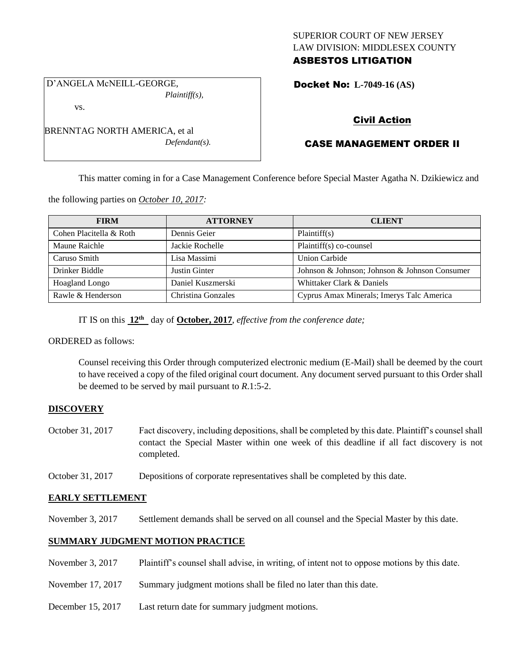## SUPERIOR COURT OF NEW JERSEY LAW DIVISION: MIDDLESEX COUNTY ASBESTOS LITIGATION

D'ANGELA McNEILL-GEORGE, *Plaintiff(s),*

BRENNTAG NORTH AMERICA, et al

vs.

Docket No: **L-7049-16 (AS)** 

## Civil Action

# CASE MANAGEMENT ORDER II

This matter coming in for a Case Management Conference before Special Master Agatha N. Dzikiewicz and

the following parties on *October 10, 2017:*

| <b>FIRM</b>             | <b>ATTORNEY</b>    | <b>CLIENT</b>                                 |
|-------------------------|--------------------|-----------------------------------------------|
| Cohen Placitella & Roth | Dennis Geier       | Plaintiff(s)                                  |
| Maune Raichle           | Jackie Rochelle    | Plaintiff(s) co-counsel                       |
| Caruso Smith            | Lisa Massimi       | <b>Union Carbide</b>                          |
| Drinker Biddle          | Justin Ginter      | Johnson & Johnson; Johnson & Johnson Consumer |
| <b>Hoagland Longo</b>   | Daniel Kuszmerski  | Whittaker Clark & Daniels                     |
| Rawle & Henderson       | Christina Gonzales | Cyprus Amax Minerals; Imerys Talc America     |

IT IS on this  $12^{th}$  day of October, 2017, *effective from the conference date*;

*Defendant(s).*

ORDERED as follows:

Counsel receiving this Order through computerized electronic medium (E-Mail) shall be deemed by the court to have received a copy of the filed original court document. Any document served pursuant to this Order shall be deemed to be served by mail pursuant to *R*.1:5-2.

## **DISCOVERY**

- October 31, 2017 Fact discovery, including depositions, shall be completed by this date. Plaintiff's counsel shall contact the Special Master within one week of this deadline if all fact discovery is not completed.
- October 31, 2017 Depositions of corporate representatives shall be completed by this date.

## **EARLY SETTLEMENT**

November 3, 2017 Settlement demands shall be served on all counsel and the Special Master by this date.

## **SUMMARY JUDGMENT MOTION PRACTICE**

- November 3, 2017 Plaintiff's counsel shall advise, in writing, of intent not to oppose motions by this date.
- November 17, 2017 Summary judgment motions shall be filed no later than this date.
- December 15, 2017 Last return date for summary judgment motions.